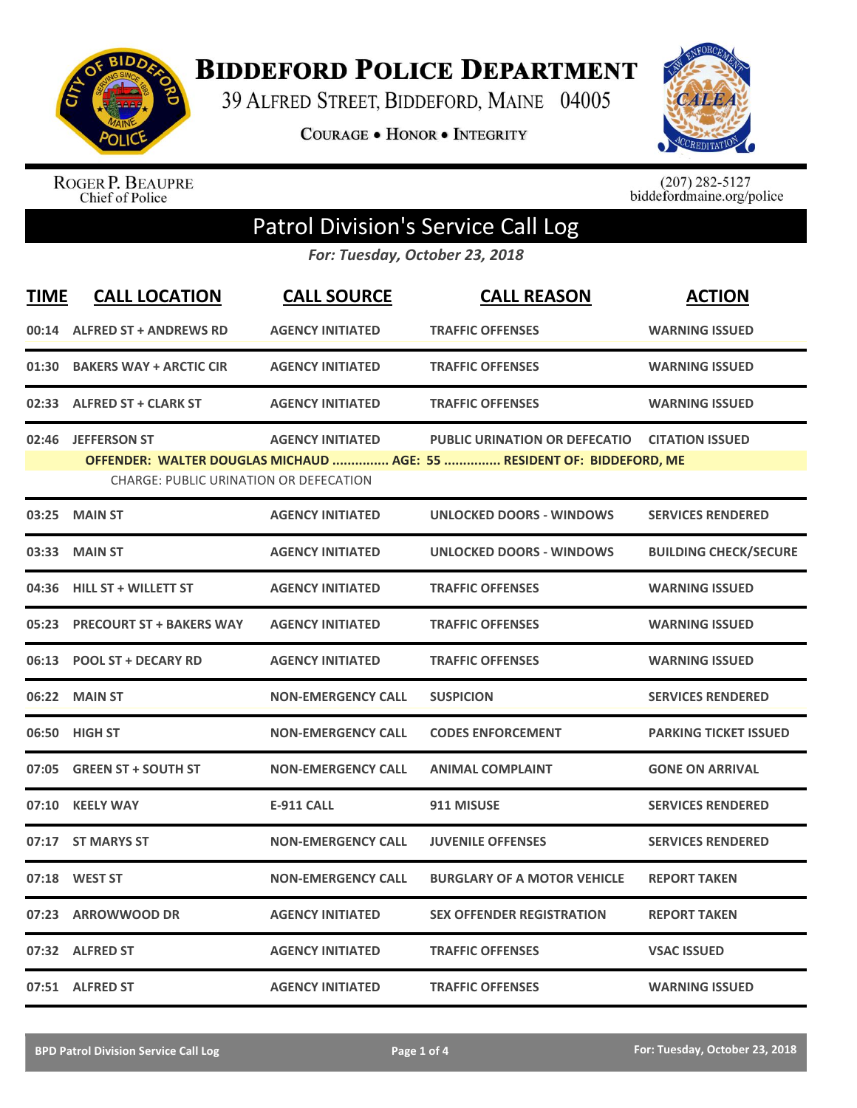

**BIDDEFORD POLICE DEPARTMENT** 

39 ALFRED STREET, BIDDEFORD, MAINE 04005

**COURAGE . HONOR . INTEGRITY** 



ROGER P. BEAUPRE<br>Chief of Police

 $(207)$  282-5127<br>biddefordmaine.org/police

## Patrol Division's Service Call Log

*For: Tuesday, October 23, 2018*

| <b>TIME</b> | <b>CALL LOCATION</b>                                                 | <b>CALL SOURCE</b>        | <b>CALL REASON</b>                                                                                            | <b>ACTION</b>                |
|-------------|----------------------------------------------------------------------|---------------------------|---------------------------------------------------------------------------------------------------------------|------------------------------|
|             | 00:14 ALFRED ST + ANDREWS RD                                         | <b>AGENCY INITIATED</b>   | <b>TRAFFIC OFFENSES</b>                                                                                       | <b>WARNING ISSUED</b>        |
| 01:30       | <b>BAKERS WAY + ARCTIC CIR</b>                                       | <b>AGENCY INITIATED</b>   | <b>TRAFFIC OFFENSES</b>                                                                                       | <b>WARNING ISSUED</b>        |
|             | 02:33 ALFRED ST + CLARK ST                                           | <b>AGENCY INITIATED</b>   | <b>TRAFFIC OFFENSES</b>                                                                                       | <b>WARNING ISSUED</b>        |
| 02:46       | <b>JEFFERSON ST</b><br><b>CHARGE: PUBLIC URINATION OR DEFECATION</b> | <b>AGENCY INITIATED</b>   | <b>PUBLIC URINATION OR DEFECATIO</b><br>OFFENDER: WALTER DOUGLAS MICHAUD  AGE: 55  RESIDENT OF: BIDDEFORD, ME | <b>CITATION ISSUED</b>       |
| 03:25       | <b>MAIN ST</b>                                                       | <b>AGENCY INITIATED</b>   | <b>UNLOCKED DOORS - WINDOWS</b>                                                                               | <b>SERVICES RENDERED</b>     |
| 03:33       | <b>MAIN ST</b>                                                       | <b>AGENCY INITIATED</b>   | <b>UNLOCKED DOORS - WINDOWS</b>                                                                               | <b>BUILDING CHECK/SECURE</b> |
| 04:36       | <b>HILL ST + WILLETT ST</b>                                          | <b>AGENCY INITIATED</b>   | <b>TRAFFIC OFFENSES</b>                                                                                       | <b>WARNING ISSUED</b>        |
| 05:23       | <b>PRECOURT ST + BAKERS WAY</b>                                      | <b>AGENCY INITIATED</b>   | <b>TRAFFIC OFFENSES</b>                                                                                       | <b>WARNING ISSUED</b>        |
| 06:13       | <b>POOL ST + DECARY RD</b>                                           | <b>AGENCY INITIATED</b>   | <b>TRAFFIC OFFENSES</b>                                                                                       | <b>WARNING ISSUED</b>        |
| 06:22       | <b>MAIN ST</b>                                                       | <b>NON-EMERGENCY CALL</b> | <b>SUSPICION</b>                                                                                              | <b>SERVICES RENDERED</b>     |
| 06:50       | <b>HIGH ST</b>                                                       | <b>NON-EMERGENCY CALL</b> | <b>CODES ENFORCEMENT</b>                                                                                      | <b>PARKING TICKET ISSUED</b> |
|             | 07:05 GREEN ST + SOUTH ST                                            | <b>NON-EMERGENCY CALL</b> | <b>ANIMAL COMPLAINT</b>                                                                                       | <b>GONE ON ARRIVAL</b>       |
| 07:10       | <b>KEELY WAY</b>                                                     | <b>E-911 CALL</b>         | 911 MISUSE                                                                                                    | <b>SERVICES RENDERED</b>     |
| 07:17       | <b>ST MARYS ST</b>                                                   | <b>NON-EMERGENCY CALL</b> | <b>JUVENILE OFFENSES</b>                                                                                      | <b>SERVICES RENDERED</b>     |
| 07:18       | <b>WEST ST</b>                                                       | <b>NON-EMERGENCY CALL</b> | <b>BURGLARY OF A MOTOR VEHICLE</b>                                                                            | <b>REPORT TAKEN</b>          |
| 07:23       | <b>ARROWWOOD DR</b>                                                  | <b>AGENCY INITIATED</b>   | <b>SEX OFFENDER REGISTRATION</b>                                                                              | <b>REPORT TAKEN</b>          |
|             | 07:32 ALFRED ST                                                      | <b>AGENCY INITIATED</b>   | <b>TRAFFIC OFFENSES</b>                                                                                       | <b>VSAC ISSUED</b>           |
|             | 07:51 ALFRED ST                                                      | <b>AGENCY INITIATED</b>   | <b>TRAFFIC OFFENSES</b>                                                                                       | <b>WARNING ISSUED</b>        |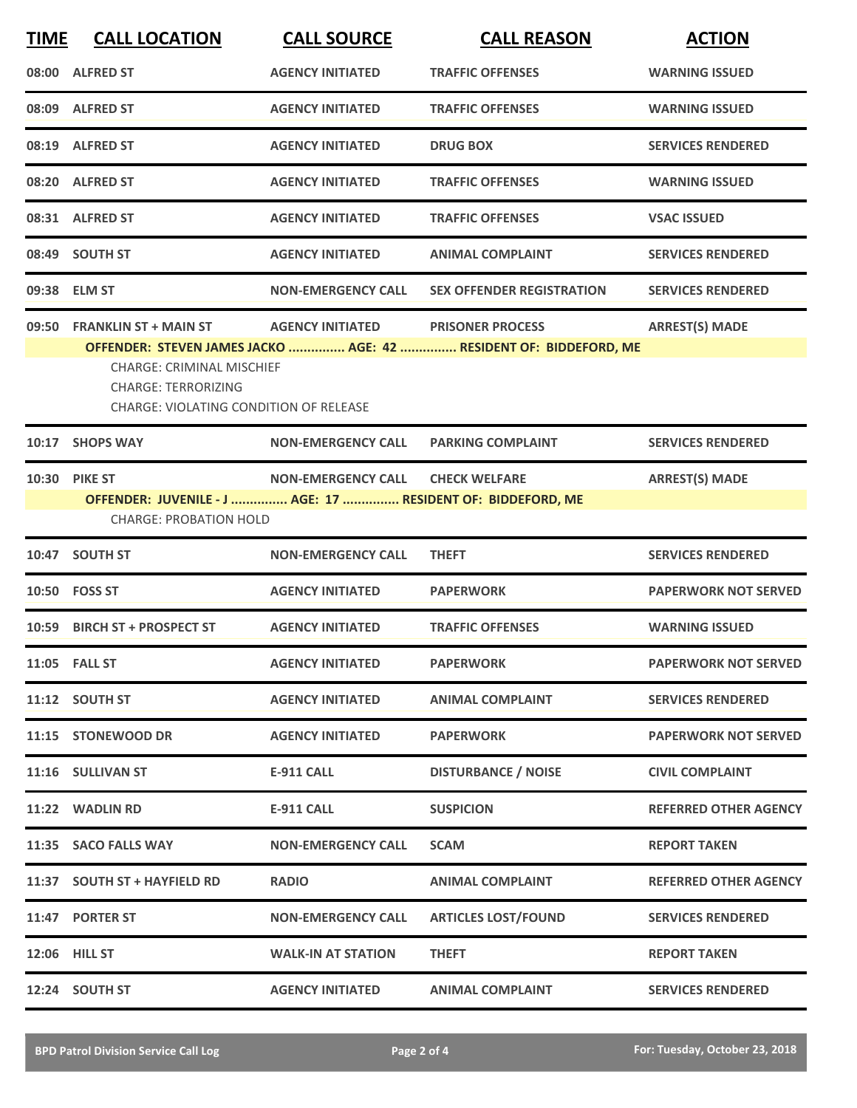| <b>TIME</b> | <b>CALL LOCATION</b>                                                                                                                           | <b>CALL SOURCE</b>        | <b>CALL REASON</b>                                                                           | <b>ACTION</b>                |
|-------------|------------------------------------------------------------------------------------------------------------------------------------------------|---------------------------|----------------------------------------------------------------------------------------------|------------------------------|
|             | 08:00 ALFRED ST                                                                                                                                | <b>AGENCY INITIATED</b>   | <b>TRAFFIC OFFENSES</b>                                                                      | <b>WARNING ISSUED</b>        |
|             | 08:09 ALFRED ST                                                                                                                                | <b>AGENCY INITIATED</b>   | <b>TRAFFIC OFFENSES</b>                                                                      | <b>WARNING ISSUED</b>        |
|             | 08:19 ALFRED ST                                                                                                                                | <b>AGENCY INITIATED</b>   | <b>DRUG BOX</b>                                                                              | <b>SERVICES RENDERED</b>     |
|             | 08:20 ALFRED ST                                                                                                                                | <b>AGENCY INITIATED</b>   | <b>TRAFFIC OFFENSES</b>                                                                      | <b>WARNING ISSUED</b>        |
|             | 08:31 ALFRED ST                                                                                                                                | <b>AGENCY INITIATED</b>   | <b>TRAFFIC OFFENSES</b>                                                                      | <b>VSAC ISSUED</b>           |
|             | 08:49 SOUTH ST                                                                                                                                 | <b>AGENCY INITIATED</b>   | <b>ANIMAL COMPLAINT</b>                                                                      | <b>SERVICES RENDERED</b>     |
|             | 09:38 ELM ST                                                                                                                                   | <b>NON-EMERGENCY CALL</b> | <b>SEX OFFENDER REGISTRATION</b>                                                             | <b>SERVICES RENDERED</b>     |
|             | 09:50 FRANKLIN ST + MAIN ST<br><b>CHARGE: CRIMINAL MISCHIEF</b><br><b>CHARGE: TERRORIZING</b><br><b>CHARGE: VIOLATING CONDITION OF RELEASE</b> | <b>AGENCY INITIATED</b>   | <b>PRISONER PROCESS</b><br>OFFENDER: STEVEN JAMES JACKO  AGE: 42  RESIDENT OF: BIDDEFORD, ME | <b>ARREST(S) MADE</b>        |
|             | 10:17 SHOPS WAY                                                                                                                                | <b>NON-EMERGENCY CALL</b> | <b>PARKING COMPLAINT</b>                                                                     | <b>SERVICES RENDERED</b>     |
|             | 10:30 PIKE ST<br>OFFENDER: JUVENILE - J  AGE: 17  RESIDENT OF: BIDDEFORD, ME<br><b>CHARGE: PROBATION HOLD</b>                                  | <b>NON-EMERGENCY CALL</b> | <b>CHECK WELFARE</b>                                                                         | <b>ARREST(S) MADE</b>        |
|             | 10:47 SOUTH ST                                                                                                                                 | <b>NON-EMERGENCY CALL</b> | <b>THEFT</b>                                                                                 | <b>SERVICES RENDERED</b>     |
|             | 10:50 FOSS ST                                                                                                                                  | <b>AGENCY INITIATED</b>   | <b>PAPERWORK</b>                                                                             | <b>PAPERWORK NOT SERVED</b>  |
| 10:59       | <b>BIRCH ST + PROSPECT ST</b>                                                                                                                  | <b>AGENCY INITIATED</b>   | <b>TRAFFIC OFFENSES</b>                                                                      | <b>WARNING ISSUED</b>        |
|             | 11:05 FALL ST                                                                                                                                  | <b>AGENCY INITIATED</b>   | <b>PAPERWORK</b>                                                                             | <b>PAPERWORK NOT SERVED</b>  |
|             | 11:12 SOUTH ST                                                                                                                                 | <b>AGENCY INITIATED</b>   | <b>ANIMAL COMPLAINT</b>                                                                      | <b>SERVICES RENDERED</b>     |
|             | 11:15 STONEWOOD DR                                                                                                                             | <b>AGENCY INITIATED</b>   | <b>PAPERWORK</b>                                                                             | <b>PAPERWORK NOT SERVED</b>  |
|             | 11:16 SULLIVAN ST                                                                                                                              | <b>E-911 CALL</b>         | <b>DISTURBANCE / NOISE</b>                                                                   | <b>CIVIL COMPLAINT</b>       |
|             | 11:22 WADLIN RD                                                                                                                                | <b>E-911 CALL</b>         | <b>SUSPICION</b>                                                                             | <b>REFERRED OTHER AGENCY</b> |
|             | 11:35 SACO FALLS WAY                                                                                                                           | <b>NON-EMERGENCY CALL</b> | <b>SCAM</b>                                                                                  | <b>REPORT TAKEN</b>          |
|             | 11:37 SOUTH ST + HAYFIELD RD                                                                                                                   | <b>RADIO</b>              | <b>ANIMAL COMPLAINT</b>                                                                      | <b>REFERRED OTHER AGENCY</b> |
|             | 11:47 PORTER ST                                                                                                                                | <b>NON-EMERGENCY CALL</b> | <b>ARTICLES LOST/FOUND</b>                                                                   | <b>SERVICES RENDERED</b>     |
|             | 12:06 HILL ST                                                                                                                                  | <b>WALK-IN AT STATION</b> | <b>THEFT</b>                                                                                 | <b>REPORT TAKEN</b>          |
|             | 12:24 SOUTH ST                                                                                                                                 | <b>AGENCY INITIATED</b>   | <b>ANIMAL COMPLAINT</b>                                                                      | <b>SERVICES RENDERED</b>     |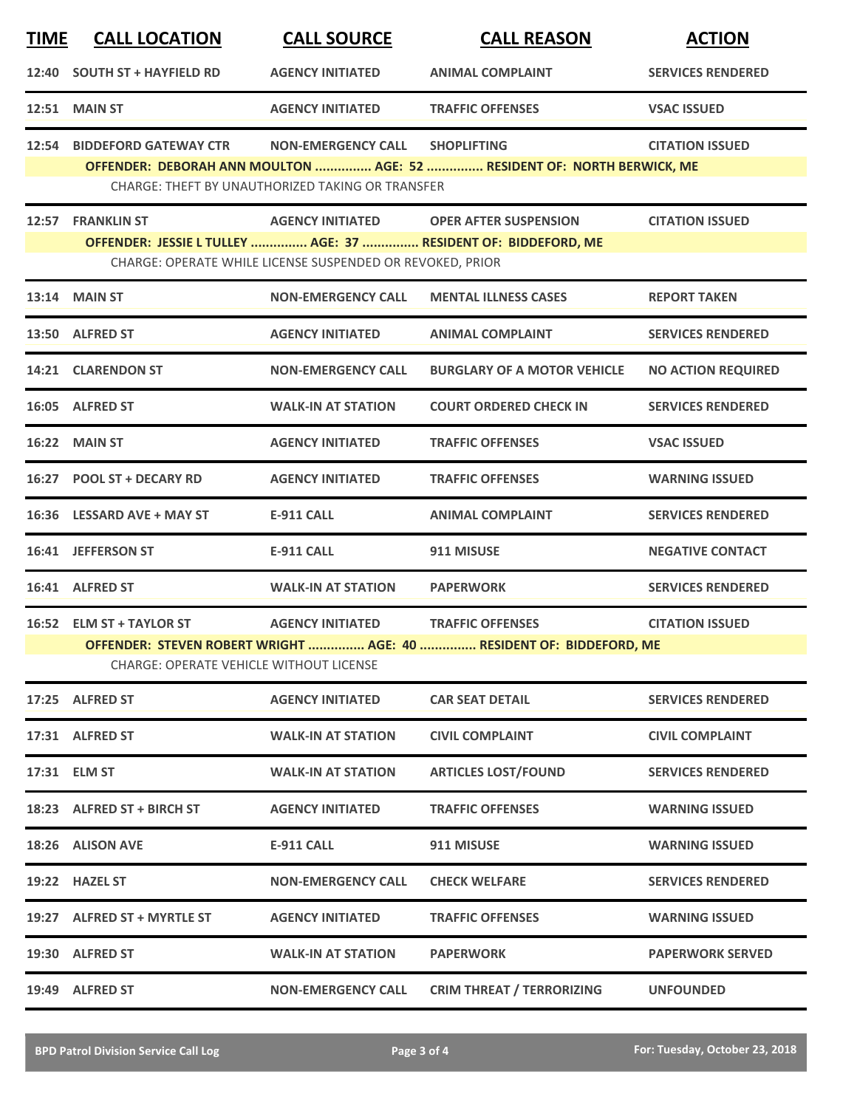| <b>TIME</b> | <b>CALL LOCATION</b>                                                                                                       | <b>CALL SOURCE</b>                                        | <b>CALL REASON</b>                                                                                       | <b>ACTION</b>             |  |  |
|-------------|----------------------------------------------------------------------------------------------------------------------------|-----------------------------------------------------------|----------------------------------------------------------------------------------------------------------|---------------------------|--|--|
| 12:40       | <b>SOUTH ST + HAYFIELD RD</b>                                                                                              | <b>AGENCY INITIATED</b>                                   | <b>ANIMAL COMPLAINT</b>                                                                                  | <b>SERVICES RENDERED</b>  |  |  |
|             | <b>12:51 MAIN ST</b>                                                                                                       | <b>AGENCY INITIATED</b>                                   | <b>TRAFFIC OFFENSES</b>                                                                                  | <b>VSAC ISSUED</b>        |  |  |
|             | 12:54 BIDDEFORD GATEWAY CTR                                                                                                | <b>NON-EMERGENCY CALL</b>                                 | <b>SHOPLIFTING</b>                                                                                       | <b>CITATION ISSUED</b>    |  |  |
|             | OFFENDER: DEBORAH ANN MOULTON  AGE: 52  RESIDENT OF: NORTH BERWICK, ME<br>CHARGE: THEFT BY UNAUTHORIZED TAKING OR TRANSFER |                                                           |                                                                                                          |                           |  |  |
|             | 12:57 FRANKLIN ST                                                                                                          |                                                           | AGENCY INITIATED OPER AFTER SUSPENSION<br>OFFENDER: JESSIE L TULLEY  AGE: 37  RESIDENT OF: BIDDEFORD, ME | <b>CITATION ISSUED</b>    |  |  |
|             |                                                                                                                            | CHARGE: OPERATE WHILE LICENSE SUSPENDED OR REVOKED, PRIOR |                                                                                                          |                           |  |  |
|             | <b>13:14 MAIN ST</b>                                                                                                       | <b>NON-EMERGENCY CALL</b>                                 | <b>MENTAL ILLNESS CASES</b>                                                                              | <b>REPORT TAKEN</b>       |  |  |
|             | 13:50 ALFRED ST                                                                                                            | <b>AGENCY INITIATED</b>                                   | <b>ANIMAL COMPLAINT</b>                                                                                  | <b>SERVICES RENDERED</b>  |  |  |
|             | 14:21 CLARENDON ST                                                                                                         | <b>NON-EMERGENCY CALL</b>                                 | <b>BURGLARY OF A MOTOR VEHICLE</b>                                                                       | <b>NO ACTION REQUIRED</b> |  |  |
|             | 16:05 ALFRED ST                                                                                                            | <b>WALK-IN AT STATION</b>                                 | <b>COURT ORDERED CHECK IN</b>                                                                            | <b>SERVICES RENDERED</b>  |  |  |
|             | 16:22 MAIN ST                                                                                                              | <b>AGENCY INITIATED</b>                                   | <b>TRAFFIC OFFENSES</b>                                                                                  | <b>VSAC ISSUED</b>        |  |  |
|             | 16:27 POOL ST + DECARY RD                                                                                                  | <b>AGENCY INITIATED</b>                                   | <b>TRAFFIC OFFENSES</b>                                                                                  | <b>WARNING ISSUED</b>     |  |  |
|             | 16:36 LESSARD AVE + MAY ST                                                                                                 | <b>E-911 CALL</b>                                         | <b>ANIMAL COMPLAINT</b>                                                                                  | <b>SERVICES RENDERED</b>  |  |  |
|             | 16:41 JEFFERSON ST                                                                                                         | <b>E-911 CALL</b>                                         | 911 MISUSE                                                                                               | <b>NEGATIVE CONTACT</b>   |  |  |
|             | 16:41 ALFRED ST                                                                                                            | <b>WALK-IN AT STATION</b>                                 | <b>PAPERWORK</b>                                                                                         | <b>SERVICES RENDERED</b>  |  |  |
|             | 16:52 ELM ST + TAYLOR ST                                                                                                   | <b>AGENCY INITIATED</b>                                   | <b>TRAFFIC OFFENSES</b><br>OFFENDER: STEVEN ROBERT WRIGHT  AGE: 40  RESIDENT OF: BIDDEFORD, ME           | <b>CITATION ISSUED</b>    |  |  |
|             | <b>CHARGE: OPERATE VEHICLE WITHOUT LICENSE</b>                                                                             |                                                           |                                                                                                          |                           |  |  |
|             | 17:25 ALFRED ST                                                                                                            | <b>AGENCY INITIATED</b>                                   | <b>CAR SEAT DETAIL</b>                                                                                   | <b>SERVICES RENDERED</b>  |  |  |
|             | 17:31 ALFRED ST                                                                                                            | <b>WALK-IN AT STATION</b>                                 | <b>CIVIL COMPLAINT</b>                                                                                   | <b>CIVIL COMPLAINT</b>    |  |  |
|             | 17:31 ELM ST                                                                                                               | <b>WALK-IN AT STATION</b>                                 | <b>ARTICLES LOST/FOUND</b>                                                                               | <b>SERVICES RENDERED</b>  |  |  |
|             | 18:23 ALFRED ST + BIRCH ST                                                                                                 | <b>AGENCY INITIATED</b>                                   | <b>TRAFFIC OFFENSES</b>                                                                                  | <b>WARNING ISSUED</b>     |  |  |
|             | 18:26 ALISON AVE                                                                                                           | E-911 CALL                                                | 911 MISUSE                                                                                               | WARNING ISSUED            |  |  |
|             | 19:22 HAZEL ST                                                                                                             | <b>NON-EMERGENCY CALL</b>                                 | <b>CHECK WELFARE</b>                                                                                     | <b>SERVICES RENDERED</b>  |  |  |
|             | 19:27 ALFRED ST + MYRTLE ST                                                                                                | <b>AGENCY INITIATED</b>                                   | <b>TRAFFIC OFFENSES</b>                                                                                  | <b>WARNING ISSUED</b>     |  |  |
|             | 19:30 ALFRED ST                                                                                                            | WALK-IN AT STATION                                        | <b>PAPERWORK</b>                                                                                         | <b>PAPERWORK SERVED</b>   |  |  |
|             | 19:49 ALFRED ST                                                                                                            | <b>NON-EMERGENCY CALL</b>                                 | <b>CRIM THREAT / TERRORIZING</b>                                                                         | <b>UNFOUNDED</b>          |  |  |